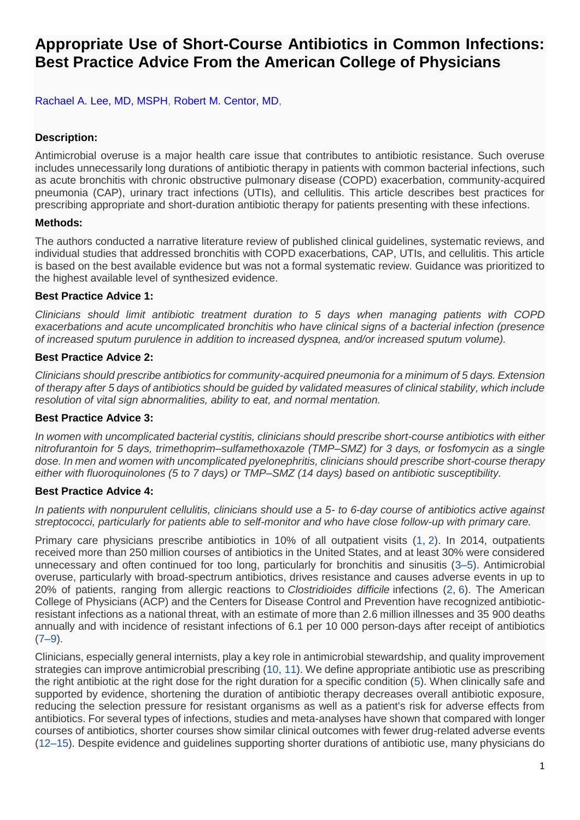# **Appropriate Use of Short-Course Antibiotics in Common Infections: Best Practice Advice From the American College of Physicians**

[Rachael A. Lee, MD, MSPH, Robert M. Centor, MD,](https://www.acpjournals.org/doi/full/10.7326/M20-7355)

# **Description:**

Antimicrobial overuse is a major health care issue that contributes to antibiotic resistance. Such overuse includes unnecessarily long durations of antibiotic therapy in patients with common bacterial infections, such as acute bronchitis with chronic obstructive pulmonary disease (COPD) exacerbation, community-acquired pneumonia (CAP), urinary tract infections (UTIs), and cellulitis. This article describes best practices for prescribing appropriate and short-duration antibiotic therapy for patients presenting with these infections.

## **Methods:**

The authors conducted a narrative literature review of published clinical guidelines, systematic reviews, and individual studies that addressed bronchitis with COPD exacerbations, CAP, UTIs, and cellulitis. This article is based on the best available evidence but was not a formal systematic review. Guidance was prioritized to the highest available level of synthesized evidence.

## **Best Practice Advice 1:**

*Clinicians should limit antibiotic treatment duration to 5 days when managing patients with COPD exacerbations and acute uncomplicated bronchitis who have clinical signs of a bacterial infection (presence of increased sputum purulence in addition to increased dyspnea, and/or increased sputum volume).*

## **Best Practice Advice 2:**

*Clinicians should prescribe antibiotics for community-acquired pneumonia for a minimum of 5 days. Extension of therapy after 5 days of antibiotics should be guided by validated measures of clinical stability, which include resolution of vital sign abnormalities, ability to eat, and normal mentation.*

#### **Best Practice Advice 3:**

*In women with uncomplicated bacterial cystitis, clinicians should prescribe short-course antibiotics with either nitrofurantoin for 5 days, trimethoprim–sulfamethoxazole (TMP–SMZ) for 3 days, or fosfomycin as a single dose. In men and women with uncomplicated pyelonephritis, clinicians should prescribe short-course therapy either with fluoroquinolones (5 to 7 days) or TMP–SMZ (14 days) based on antibiotic susceptibility.*

#### **Best Practice Advice 4:**

*In patients with nonpurulent cellulitis, clinicians should use a 5- to 6-day course of antibiotics active against streptococci, particularly for patients able to self-monitor and who have close follow-up with primary care.*

Primary care physicians prescribe antibiotics in 10% of all outpatient visits [\(1,](https://www.acpjournals.org/doi/full/10.7326/M20-7355#r1-M207355) [2\)](https://www.acpjournals.org/doi/full/10.7326/M20-7355#r2-M207355). In 2014, outpatients received more than 250 million courses of antibiotics in the United States, and at least 30% were considered unnecessary and often continued for too long, particularly for bronchitis and sinusitis [\(3–5\)](https://www.acpjournals.org/doi/full/10.7326/M20-7355#r3-M207355%20r4-M207355%20r5-M207355). Antimicrobial overuse, particularly with broad-spectrum antibiotics, drives resistance and causes adverse events in up to 20% of patients, ranging from allergic reactions to *Clostridioides difficile* infections [\(2,](https://www.acpjournals.org/doi/full/10.7326/M20-7355#r2-M207355) [6\)](https://www.acpjournals.org/doi/full/10.7326/M20-7355#r6-M207355). The American College of Physicians (ACP) and the Centers for Disease Control and Prevention have recognized antibioticresistant infections as a national threat, with an estimate of more than 2.6 million illnesses and 35 900 deaths annually and with incidence of resistant infections of 6.1 per 10 000 person-days after receipt of antibiotics  $(7-9)$ .

Clinicians, especially general internists, play a key role in antimicrobial stewardship, and quality improvement strategies can improve antimicrobial prescribing [\(10,](https://www.acpjournals.org/doi/full/10.7326/M20-7355#r10-M207355) [11\)](https://www.acpjournals.org/doi/full/10.7326/M20-7355#r11-M207355). We define appropriate antibiotic use as prescribing the right antibiotic at the right dose for the right duration for a specific condition [\(5\)](https://www.acpjournals.org/doi/full/10.7326/M20-7355#r5-M207355). When clinically safe and supported by evidence, shortening the duration of antibiotic therapy decreases overall antibiotic exposure, reducing the selection pressure for resistant organisms as well as a patient's risk for adverse effects from antibiotics. For several types of infections, studies and meta-analyses have shown that compared with longer courses of antibiotics, shorter courses show similar clinical outcomes with fewer drug-related adverse events [\(12–15\)](https://www.acpjournals.org/doi/full/10.7326/M20-7355#r12-M207355%20r13-M207355%20r14-M207355%20r15-M207355). Despite evidence and guidelines supporting shorter durations of antibiotic use, many physicians do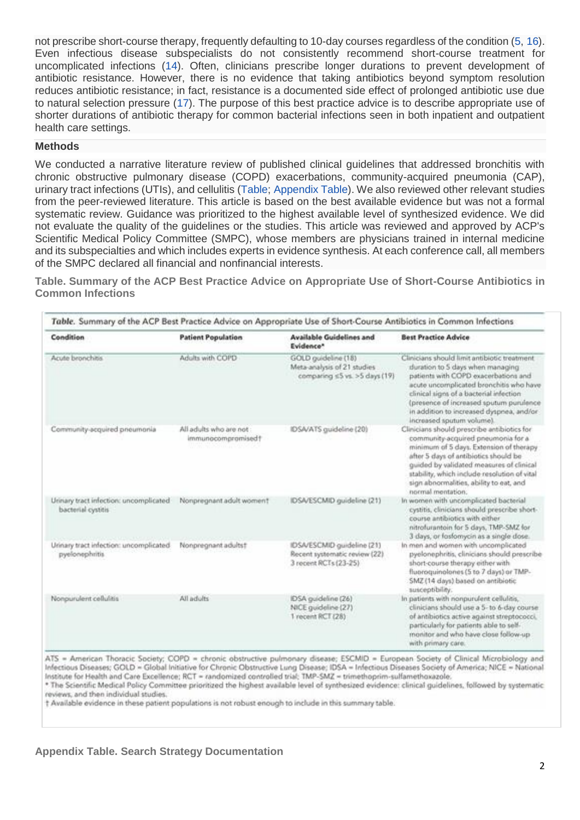not prescribe short-course therapy, frequently defaulting to 10-day courses regardless of the condition [\(5,](https://www.acpjournals.org/doi/full/10.7326/M20-7355#r5-M207355) [16\)](https://www.acpjournals.org/doi/full/10.7326/M20-7355#r16-M207355). Even infectious disease subspecialists do not consistently recommend short-course treatment for uncomplicated infections [\(14\)](https://www.acpjournals.org/doi/full/10.7326/M20-7355#r14-M207355). Often, clinicians prescribe longer durations to prevent development of antibiotic resistance. However, there is no evidence that taking antibiotics beyond symptom resolution reduces antibiotic resistance; in fact, resistance is a documented side effect of prolonged antibiotic use due to natural selection pressure [\(17\)](https://www.acpjournals.org/doi/full/10.7326/M20-7355#r17-M207355). The purpose of this best practice advice is to describe appropriate use of shorter durations of antibiotic therapy for common bacterial infections seen in both inpatient and outpatient health care settings.

#### **Methods**

We conducted a narrative literature review of published clinical guidelines that addressed bronchitis with chronic obstructive pulmonary disease (COPD) exacerbations, community-acquired pneumonia (CAP), urinary tract infections (UTIs), and cellulitis [\(Table;](https://www.acpjournals.org/doi/full/10.7326/M20-7355#t1-M207355) [Appendix Table\)](https://www.acpjournals.org/doi/full/10.7326/M20-7355#ta1-M207355). We also reviewed other relevant studies from the peer-reviewed literature. This article is based on the best available evidence but was not a formal systematic review. Guidance was prioritized to the highest available level of synthesized evidence. We did not evaluate the quality of the guidelines or the studies. This article was reviewed and approved by ACP's Scientific Medical Policy Committee (SMPC), whose members are physicians trained in internal medicine and its subspecialties and which includes experts in evidence synthesis. At each conference call, all members of the SMPC declared all financial and nonfinancial interests.

**Table. Summary of the ACP Best Practice Advice on Appropriate Use of Short-Course Antibiotics in Common Infections**

| Condition                                                    | <b>Patient Population</b>                    | Available Guidelines and<br>Evidence <sup>*</sup>                                     | <b>Best Practice Advice</b>                                                                                                                                                                                                                                                                                                         |
|--------------------------------------------------------------|----------------------------------------------|---------------------------------------------------------------------------------------|-------------------------------------------------------------------------------------------------------------------------------------------------------------------------------------------------------------------------------------------------------------------------------------------------------------------------------------|
| Acute bronchitis                                             | Adults with COPD                             | GOLD guideline (18)<br>Meta-analysis of 21 studies<br>comparing ≤5 vs. >5 days (19)   | Clinicians should limit antibiotic treatment.<br>duration to 5 days when managing<br>patients with COPD exacerbations and<br>acute uncomplicated bronchitis who have<br>clinical signs of a bacterial infection<br>(presence of increased sputum purulence<br>in addition to increased dyspnea, and/or<br>increased sputum volume). |
| Community-acquired pneumonia                                 | All adults who are not<br>immunocompromised! | IDSA/ATS guideline (20)                                                               | Clinicians should prescribe antibiotics for<br>community-acquired pneumonia for a<br>minimum of 5 days. Extension of therapy<br>after 5 days of antibiotics should be<br>quided by validated measures of clinical<br>stability, which include resolution of vital<br>sign abnormalities, ability to eat, and<br>normal mentation:   |
| Urinary tract infection: uncomplicated<br>bacterial cystitis | Nonpregnant adult women?                     | IDSA/ESCMID guideline (21)                                                            | In women with uncomplicated bacterial<br>cystitis, clinicians should prescribe short-<br>course antibiotics with either<br>nitrofurantoin for 5 days, TMP-SMZ for<br>3 days, or fosfomycin as a single dose.                                                                                                                        |
| Unnary tract infection: uncomplicated<br>pyelonephritis      | Nonpregnant adults!                          | IDSA/ESCMID guideline (21)<br>Recent systematic review (22).<br>3 rocent RCTs (23-25) | In men and women with uncomplicated<br>pyelonephritis, clinicians should prescribe<br>short-course therapy either with<br>fluoroquinolones (5 to 7 days) or TMP-<br>SMZ (14 days) based on antibiotic<br>susceptibility.                                                                                                            |
| Nonpurulent cellulitis                                       | All adults                                   | IDSA guideline (26)<br>NICE guideline (27)<br>1 recent RCT (28)                       | In patients with nonpurulent cellulitis,<br>clinicians should use a 5- to 6-day course.<br>of antibiotics active against streptococci.<br>particularly for patients able to self-<br>monitor and who have close follow-up<br>with primary care.                                                                                     |

ATS = American Thoracic Society; COPD = chronic obstructive pulmonary disease; ESCMID = European Society of Clinical Microbiology and Infectious Diseases; GOLD = Global Initiative for Chronic Obstructive Lung Disease; IDSA = Infectious Diseases Society of America; NICE = National Institute for Health and Care Excellence; RCT = randomized controlled trial; TMP-SMZ = trimethoprim-sulfamethoxazole.

\* The Scientific Medical Policy Committee prioritized the highest available level of synthesized evidence: clinical guidelines, followed by systematic reviews, and then individual studies.

† Available evidence in these patient populations is not robust enough to include in this summary table.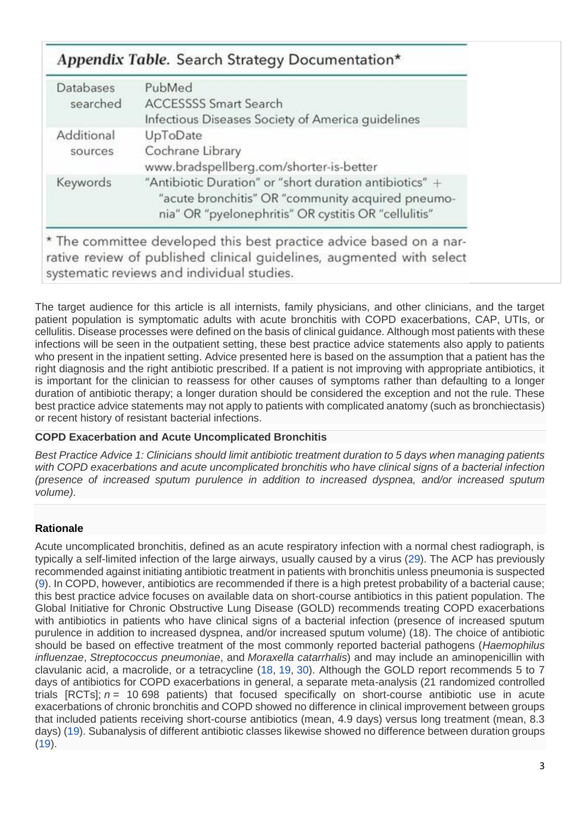# Appendix Table. Search Strategy Documentation\*

| <b>Databases</b><br>searched | PubMed<br><b>ACCESSSS Smart Search</b><br>Infectious Diseases Society of America guidelines                                                                          |  |
|------------------------------|----------------------------------------------------------------------------------------------------------------------------------------------------------------------|--|
| Additional<br>sources        | UpToDate<br>Cochrane Library<br>www.bradspellberg.com/shorter-is-better                                                                                              |  |
| Keywords                     | "Antibiotic Duration" or "short duration antibiotics" +<br>"acute bronchitis" OR "community acquired pneumo-<br>nia" OR "pyelonephritis" OR cystitis OR "cellulitis" |  |

\* The committee developed this best practice advice based on a narrative review of published clinical guidelines, augmented with select systematic reviews and individual studies.

The target audience for this article is all internists, family physicians, and other clinicians, and the target patient population is symptomatic adults with acute bronchitis with COPD exacerbations, CAP, UTIs, or cellulitis. Disease processes were defined on the basis of clinical guidance. Although most patients with these infections will be seen in the outpatient setting, these best practice advice statements also apply to patients who present in the inpatient setting. Advice presented here is based on the assumption that a patient has the right diagnosis and the right antibiotic prescribed. If a patient is not improving with appropriate antibiotics, it is important for the clinician to reassess for other causes of symptoms rather than defaulting to a longer duration of antibiotic therapy; a longer duration should be considered the exception and not the rule. These best practice advice statements may not apply to patients with complicated anatomy (such as bronchiectasis) or recent history of resistant bacterial infections.

# **COPD Exacerbation and Acute Uncomplicated Bronchitis**

*Best Practice Advice 1: Clinicians should limit antibiotic treatment duration to 5 days when managing patients with COPD exacerbations and acute uncomplicated bronchitis who have clinical signs of a bacterial infection (presence of increased sputum purulence in addition to increased dyspnea, and/or increased sputum volume).*

# **Rationale**

Acute uncomplicated bronchitis, defined as an acute respiratory infection with a normal chest radiograph, is typically a self-limited infection of the large airways, usually caused by a virus [\(29\)](https://www.acpjournals.org/doi/full/10.7326/M20-7355#r29-M207355). The ACP has previously recommended against initiating antibiotic treatment in patients with bronchitis unless pneumonia is suspected [\(9\)](https://www.acpjournals.org/doi/full/10.7326/M20-7355#r9-M207355). In COPD, however, antibiotics are recommended if there is a high pretest probability of a bacterial cause; this best practice advice focuses on available data on short-course antibiotics in this patient population. The Global Initiative for Chronic Obstructive Lung Disease (GOLD) recommends treating COPD exacerbations with antibiotics in patients who have clinical signs of a bacterial infection (presence of increased sputum purulence in addition to increased dyspnea, and/or increased sputum volume) (18). The choice of antibiotic should be based on effective treatment of the most commonly reported bacterial pathogens (*Haemophilus influenzae*, *Streptococcus pneumoniae*, and *Moraxella catarrhalis*) and may include an aminopenicillin with clavulanic acid, a macrolide, or a tetracycline [\(18,](https://www.acpjournals.org/doi/full/10.7326/M20-7355#r18-M207355) [19,](https://www.acpjournals.org/doi/full/10.7326/M20-7355#r19-M207355) [30\)](https://www.acpjournals.org/doi/full/10.7326/M20-7355#r30-M207355). Although the GOLD report recommends 5 to 7 days of antibiotics for COPD exacerbations in general, a separate meta-analysis (21 randomized controlled trials [RCTs]; *n* = 10 698 patients) that focused specifically on short-course antibiotic use in acute exacerbations of chronic bronchitis and COPD showed no difference in clinical improvement between groups that included patients receiving short-course antibiotics (mean, 4.9 days) versus long treatment (mean, 8.3 days) [\(19\)](https://www.acpjournals.org/doi/full/10.7326/M20-7355#r19-M207355). Subanalysis of different antibiotic classes likewise showed no difference between duration groups  $(19)$ .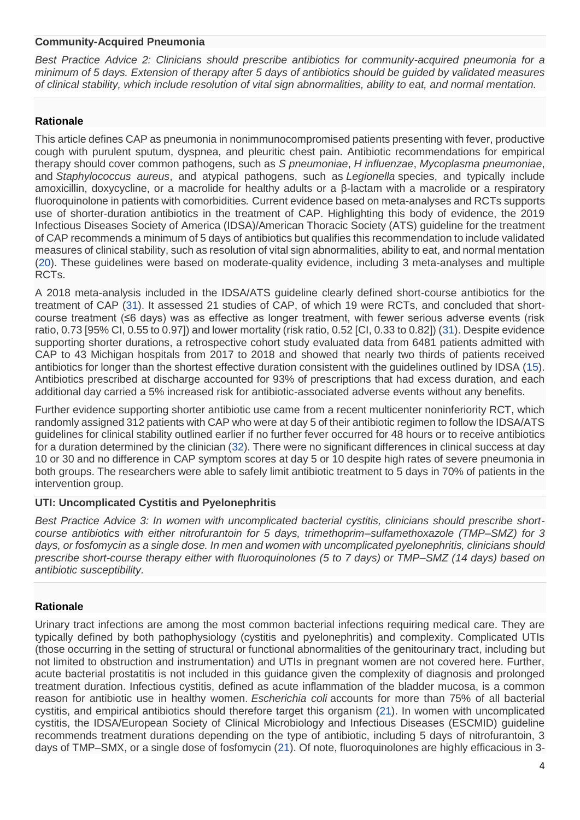#### **Community-Acquired Pneumonia**

*Best Practice Advice 2: Clinicians should prescribe antibiotics for community-acquired pneumonia for a minimum of 5 days. Extension of therapy after 5 days of antibiotics should be guided by validated measures of clinical stability, which include resolution of vital sign abnormalities, ability to eat, and normal mentation.*

# **Rationale**

This article defines CAP as pneumonia in nonimmunocompromised patients presenting with fever, productive cough with purulent sputum, dyspnea, and pleuritic chest pain. Antibiotic recommendations for empirical therapy should cover common pathogens, such as *S pneumoniae*, *H influenzae*, *Mycoplasma pneumoniae*, and *Staphylococcus aureus*, and atypical pathogens, such as *Legionella* species, and typically include amoxicillin, doxycycline, or a macrolide for healthy adults or a β-lactam with a macrolide or a respiratory fluoroquinolone in patients with comorbidities*.* Current evidence based on meta-analyses and RCTs supports use of shorter-duration antibiotics in the treatment of CAP. Highlighting this body of evidence, the 2019 Infectious Diseases Society of America (IDSA)/American Thoracic Society (ATS) guideline for the treatment of CAP recommends a minimum of 5 days of antibiotics but qualifies this recommendation to include validated measures of clinical stability, such as resolution of vital sign abnormalities, ability to eat, and normal mentation [\(20\)](https://www.acpjournals.org/doi/full/10.7326/M20-7355#r20-M207355). These guidelines were based on moderate-quality evidence, including 3 meta-analyses and multiple RCTs.

A 2018 meta-analysis included in the IDSA/ATS guideline clearly defined short-course antibiotics for the treatment of CAP [\(31\)](https://www.acpjournals.org/doi/full/10.7326/M20-7355#r31-M207355). It assessed 21 studies of CAP, of which 19 were RCTs, and concluded that shortcourse treatment (≤6 days) was as effective as longer treatment, with fewer serious adverse events (risk ratio, 0.73 [95% CI, 0.55 to 0.97]) and lower mortality (risk ratio, 0.52 [CI, 0.33 to 0.82]) [\(31\)](https://www.acpjournals.org/doi/full/10.7326/M20-7355#r31-M207355). Despite evidence supporting shorter durations, a retrospective cohort study evaluated data from 6481 patients admitted with CAP to 43 Michigan hospitals from 2017 to 2018 and showed that nearly two thirds of patients received antibiotics for longer than the shortest effective duration consistent with the guidelines outlined by IDSA [\(15\)](https://www.acpjournals.org/doi/full/10.7326/M20-7355#r15-M207355). Antibiotics prescribed at discharge accounted for 93% of prescriptions that had excess duration, and each additional day carried a 5% increased risk for antibiotic-associated adverse events without any benefits.

Further evidence supporting shorter antibiotic use came from a recent multicenter noninferiority RCT, which randomly assigned 312 patients with CAP who were at day 5 of their antibiotic regimen to follow the IDSA/ATS guidelines for clinical stability outlined earlier if no further fever occurred for 48 hours or to receive antibiotics for a duration determined by the clinician [\(32\)](https://www.acpjournals.org/doi/full/10.7326/M20-7355#r32-M207355). There were no significant differences in clinical success at day 10 or 30 and no difference in CAP symptom scores at day 5 or 10 despite high rates of severe pneumonia in both groups. The researchers were able to safely limit antibiotic treatment to 5 days in 70% of patients in the intervention group.

# **UTI: Uncomplicated Cystitis and Pyelonephritis**

*Best Practice Advice 3: In women with uncomplicated bacterial cystitis, clinicians should prescribe shortcourse antibiotics with either nitrofurantoin for 5 days, trimethoprim–sulfamethoxazole (TMP–SMZ) for 3 days, or fosfomycin as a single dose. In men and women with uncomplicated pyelonephritis, clinicians should prescribe short-course therapy either with fluoroquinolones (5 to 7 days) or TMP–SMZ (14 days) based on antibiotic susceptibility.*

# **Rationale**

Urinary tract infections are among the most common bacterial infections requiring medical care. They are typically defined by both pathophysiology (cystitis and pyelonephritis) and complexity. Complicated UTIs (those occurring in the setting of structural or functional abnormalities of the genitourinary tract, including but not limited to obstruction and instrumentation) and UTIs in pregnant women are not covered here. Further, acute bacterial prostatitis is not included in this guidance given the complexity of diagnosis and prolonged treatment duration. Infectious cystitis, defined as acute inflammation of the bladder mucosa, is a common reason for antibiotic use in healthy women. *Escherichia coli* accounts for more than 75% of all bacterial cystitis, and empirical antibiotics should therefore target this organism [\(21\)](https://www.acpjournals.org/doi/full/10.7326/M20-7355#r21-M207355). In women with uncomplicated cystitis, the IDSA/European Society of Clinical Microbiology and Infectious Diseases (ESCMID) guideline recommends treatment durations depending on the type of antibiotic, including 5 days of nitrofurantoin, 3 days of TMP–SMX, or a single dose of fosfomycin [\(21\)](https://www.acpjournals.org/doi/full/10.7326/M20-7355#r21-M207355). Of note, fluoroquinolones are highly efficacious in 3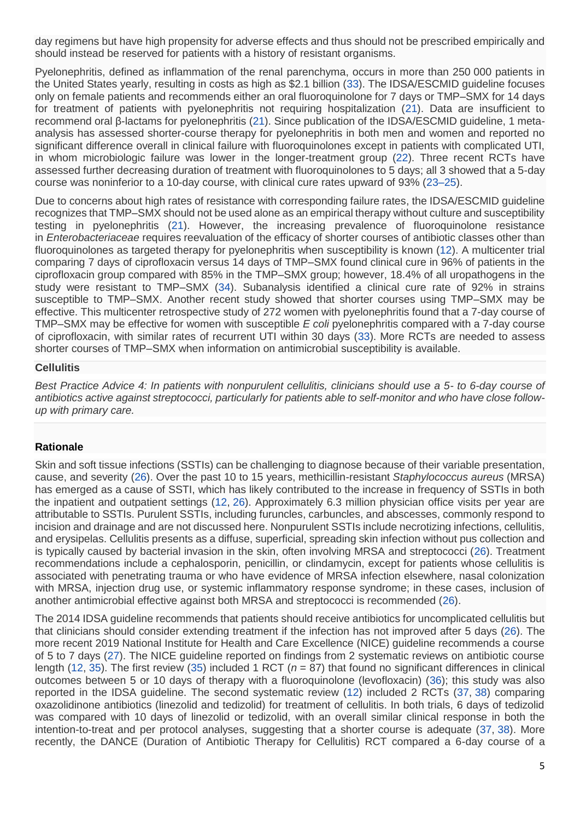day regimens but have high propensity for adverse effects and thus should not be prescribed empirically and should instead be reserved for patients with a history of resistant organisms.

Pyelonephritis, defined as inflammation of the renal parenchyma, occurs in more than 250 000 patients in the United States yearly, resulting in costs as high as \$2.1 billion [\(33\)](https://www.acpjournals.org/doi/full/10.7326/M20-7355#r33-M207355). The IDSA/ESCMID guideline focuses only on female patients and recommends either an oral fluoroquinolone for 7 days or TMP–SMX for 14 days for treatment of patients with pyelonephritis not requiring hospitalization [\(21\)](https://www.acpjournals.org/doi/full/10.7326/M20-7355#r21-M207355). Data are insufficient to recommend oral β-lactams for pyelonephritis [\(21\)](https://www.acpjournals.org/doi/full/10.7326/M20-7355#r21-M207355). Since publication of the IDSA/ESCMID guideline, 1 metaanalysis has assessed shorter-course therapy for pyelonephritis in both men and women and reported no significant difference overall in clinical failure with fluoroquinolones except in patients with complicated UTI, in whom microbiologic failure was lower in the longer-treatment group [\(22\)](https://www.acpjournals.org/doi/full/10.7326/M20-7355#r22-M207355). Three recent RCTs have assessed further decreasing duration of treatment with fluoroquinolones to 5 days; all 3 showed that a 5-day course was noninferior to a 10-day course, with clinical cure rates upward of 93% [\(23–25\)](https://www.acpjournals.org/doi/full/10.7326/M20-7355#r23-M207355%20r24-M207355%20r25-M207355).

Due to concerns about high rates of resistance with corresponding failure rates, the IDSA/ESCMID guideline recognizes that TMP–SMX should not be used alone as an empirical therapy without culture and susceptibility testing in pyelonephritis [\(21\)](https://www.acpjournals.org/doi/full/10.7326/M20-7355#r21-M207355). However, the increasing prevalence of fluoroquinolone resistance in *Enterobacteriaceae* requires reevaluation of the efficacy of shorter courses of antibiotic classes other than fluoroquinolones as targeted therapy for pyelonephritis when susceptibility is known [\(12\)](https://www.acpjournals.org/doi/full/10.7326/M20-7355#r12-M207355). A multicenter trial comparing 7 days of ciprofloxacin versus 14 days of TMP–SMX found clinical cure in 96% of patients in the ciprofloxacin group compared with 85% in the TMP–SMX group; however, 18.4% of all uropathogens in the study were resistant to TMP–SMX [\(34\)](https://www.acpjournals.org/doi/full/10.7326/M20-7355#r34-M207355). Subanalysis identified a clinical cure rate of 92% in strains susceptible to TMP–SMX. Another recent study showed that shorter courses using TMP–SMX may be effective. This multicenter retrospective study of 272 women with pyelonephritis found that a 7-day course of TMP–SMX may be effective for women with susceptible *E coli* pyelonephritis compared with a 7-day course of ciprofloxacin, with similar rates of recurrent UTI within 30 days [\(33\)](https://www.acpjournals.org/doi/full/10.7326/M20-7355#r33-M207355). More RCTs are needed to assess shorter courses of TMP–SMX when information on antimicrobial susceptibility is available.

#### **Cellulitis**

*Best Practice Advice 4: In patients with nonpurulent cellulitis, clinicians should use a 5- to 6-day course of antibiotics active against streptococci, particularly for patients able to self-monitor and who have close followup with primary care.*

#### **Rationale**

Skin and soft tissue infections (SSTIs) can be challenging to diagnose because of their variable presentation, cause, and severity [\(26\)](https://www.acpjournals.org/doi/full/10.7326/M20-7355#r26-M207355). Over the past 10 to 15 years, methicillin-resistant *Staphylococcus aureus* (MRSA) has emerged as a cause of SSTI, which has likely contributed to the increase in frequency of SSTIs in both the inpatient and outpatient settings [\(12,](https://www.acpjournals.org/doi/full/10.7326/M20-7355#r12-M207355) [26\)](https://www.acpjournals.org/doi/full/10.7326/M20-7355#r26-M207355). Approximately 6.3 million physician office visits per year are attributable to SSTIs. Purulent SSTIs, including furuncles, carbuncles, and abscesses, commonly respond to incision and drainage and are not discussed here. Nonpurulent SSTIs include necrotizing infections, cellulitis, and erysipelas. Cellulitis presents as a diffuse, superficial, spreading skin infection without pus collection and is typically caused by bacterial invasion in the skin, often involving MRSA and streptococci [\(26\)](https://www.acpjournals.org/doi/full/10.7326/M20-7355#r26-M207355). Treatment recommendations include a cephalosporin, penicillin, or clindamycin, except for patients whose cellulitis is associated with penetrating trauma or who have evidence of MRSA infection elsewhere, nasal colonization with MRSA, injection drug use, or systemic inflammatory response syndrome; in these cases, inclusion of another antimicrobial effective against both MRSA and streptococci is recommended [\(26\)](https://www.acpjournals.org/doi/full/10.7326/M20-7355#r26-M207355).

The 2014 IDSA guideline recommends that patients should receive antibiotics for uncomplicated cellulitis but that clinicians should consider extending treatment if the infection has not improved after 5 days [\(26\)](https://www.acpjournals.org/doi/full/10.7326/M20-7355#r26-M207355). The more recent 2019 National Institute for Health and Care Excellence (NICE) guideline recommends a course of 5 to 7 days [\(27\)](https://www.acpjournals.org/doi/full/10.7326/M20-7355#r27-M207355). The NICE guideline reported on findings from 2 systematic reviews on antibiotic course length [\(12,](https://www.acpjournals.org/doi/full/10.7326/M20-7355#r12-M207355) [35\)](https://www.acpjournals.org/doi/full/10.7326/M20-7355#r35-M207355). The first review [\(35\)](https://www.acpjournals.org/doi/full/10.7326/M20-7355#r35-M207355) included 1 RCT (*n* = 87) that found no significant differences in clinical outcomes between 5 or 10 days of therapy with a fluoroquinolone (levofloxacin) [\(36\)](https://www.acpjournals.org/doi/full/10.7326/M20-7355#r36-M207355); this study was also reported in the IDSA guideline. The second systematic review [\(12\)](https://www.acpjournals.org/doi/full/10.7326/M20-7355#r12-M207355) included 2 RCTs [\(37,](https://www.acpjournals.org/doi/full/10.7326/M20-7355#r37-M207355) [38\)](https://www.acpjournals.org/doi/full/10.7326/M20-7355#r38-M207355) comparing oxazolidinone antibiotics (linezolid and tedizolid) for treatment of cellulitis. In both trials, 6 days of tedizolid was compared with 10 days of linezolid or tedizolid, with an overall similar clinical response in both the intention-to-treat and per protocol analyses, suggesting that a shorter course is adequate [\(37,](https://www.acpjournals.org/doi/full/10.7326/M20-7355#r37-M207355) [38\)](https://www.acpjournals.org/doi/full/10.7326/M20-7355#r38-M207355). More recently, the DANCE (Duration of Antibiotic Therapy for Cellulitis) RCT compared a 6-day course of a